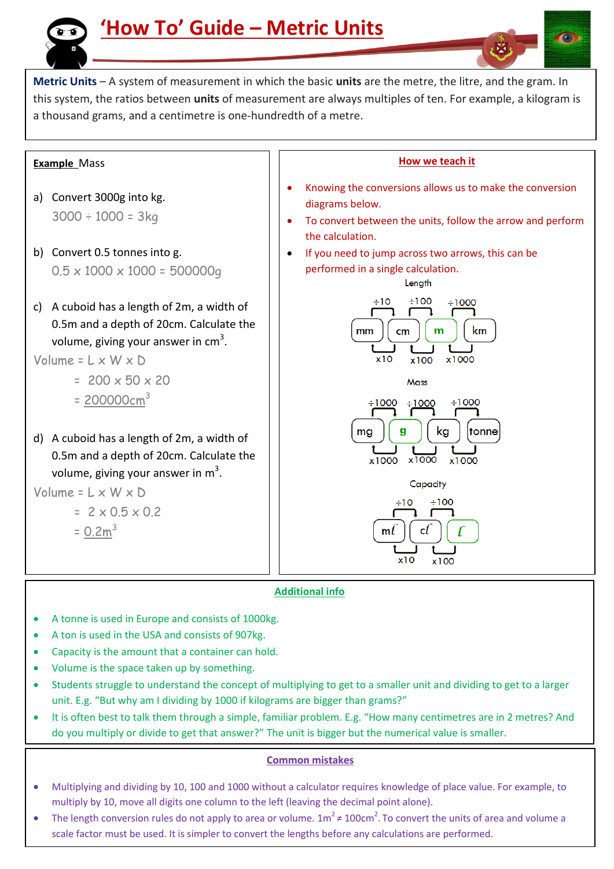

**Metric Units** – A system of measurement in which the basic **units** are the metre, the litre, and the gram. In this system, the ratios between **units** of measurement are always multiples of ten. For example, a kilogram is a thousand grams, and a centimetre is one-hundredth of a metre.

### **Example** Mass

- a) Convert 3000g into kg.  $3000 \div 1000 = 3kg$
- b) Convert 0.5 tonnes into g.  $0.5 \times 1000 \times 1000 = 500000q$
- c) A cuboid has a length of 2m, a width of 0.5m and a depth of 20cm. Calculate the volume, giving your answer in  $cm<sup>3</sup>$ .

## Volume =  $L \times W \times D$

- $= 200 \times 50 \times 20$
- $= 200000 \text{cm}^3$
- d) A cuboid has a length of 2m, a width of 0.5m and a depth of 20cm. Calculate the volume, giving your answer in  $m^3$ .

Volume = 
$$
L \times W \times D
$$
  
=  $2 \times 0.5 \times 0.2$ 

 $= 0.2 m^3$ 

Ξ



#### **Additional info**

- A tonne is used in Europe and consists of 1000kg.
- A ton is used in the USA and consists of 907kg.
- Capacity is the amount that a container can hold.
- Volume is the space taken up by something.
- unit. E.g. "But why am I dividing by 1000 if kilograms are bigger than grams?" Students struggle to understand the concept of multiplying to get to a smaller unit and dividing to get to a larger
- It is often best to talk them through a simple, familiar problem. E.g. "How many centimetres are in 2 metres? And do you multiply or divide to get that answer?" The unit is bigger but the numerical value is smaller.

#### **Common mistakes**

- Multiplying and dividing by 10, 100 and 1000 without a calculator requires knowledge of place value. For example, to multiply by 10, move all digits one column to the left (leaving the decimal point alone).
- The length conversion rules do not apply to area or volume.  $1m^2 \neq 100cm^2$ . To convert the units of area and volume a scale factor must be used. It is simpler to convert the lengths before any calculations are performed.

### **How we teach it**

- Knowing the conversions allows us to make the conversion diagrams below.
- To convert between the units, follow the arrow and perform